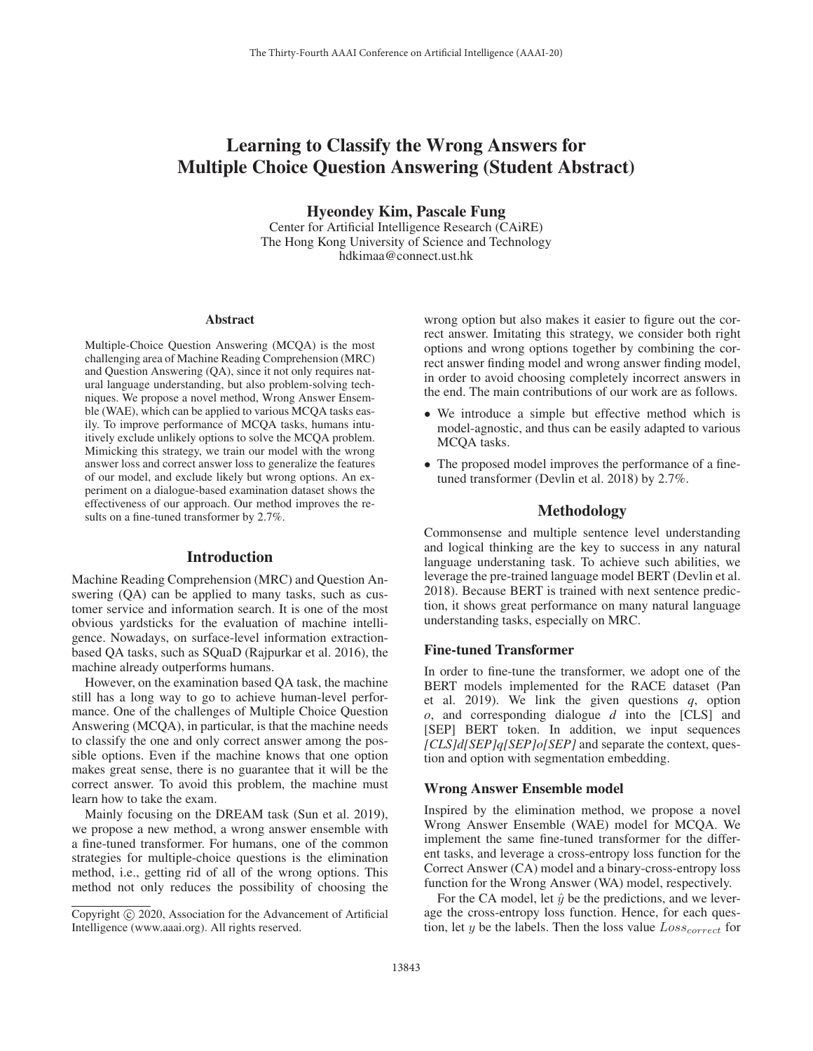# Learning to Classify the Wrong Answers for Multiple Choice Question Answering (Student Abstract)

Hyeondey Kim, Pascale Fung

Center for Artificial Intelligence Research (CAiRE) The Hong Kong University of Science and Technology hdkimaa@connect.ust.hk

#### Abstract

Multiple-Choice Question Answering (MCQA) is the most challenging area of Machine Reading Comprehension (MRC) and Question Answering (QA), since it not only requires natural language understanding, but also problem-solving techniques. We propose a novel method, Wrong Answer Ensemble (WAE), which can be applied to various MCQA tasks easily. To improve performance of MCQA tasks, humans intuitively exclude unlikely options to solve the MCQA problem. Mimicking this strategy, we train our model with the wrong answer loss and correct answer loss to generalize the features of our model, and exclude likely but wrong options. An experiment on a dialogue-based examination dataset shows the effectiveness of our approach. Our method improves the results on a fine-tuned transformer by 2.7%.

# Introduction

Machine Reading Comprehension (MRC) and Question Answering (QA) can be applied to many tasks, such as customer service and information search. It is one of the most obvious yardsticks for the evaluation of machine intelligence. Nowadays, on surface-level information extractionbased QA tasks, such as SQuaD (Rajpurkar et al. 2016), the machine already outperforms humans.

However, on the examination based QA task, the machine still has a long way to go to achieve human-level performance. One of the challenges of Multiple Choice Question Answering (MCQA), in particular, is that the machine needs to classify the one and only correct answer among the possible options. Even if the machine knows that one option makes great sense, there is no guarantee that it will be the correct answer. To avoid this problem, the machine must learn how to take the exam.

Mainly focusing on the DREAM task (Sun et al. 2019), we propose a new method, a wrong answer ensemble with a fine-tuned transformer. For humans, one of the common strategies for multiple-choice questions is the elimination method, i.e., getting rid of all of the wrong options. This method not only reduces the possibility of choosing the

wrong option but also makes it easier to figure out the correct answer. Imitating this strategy, we consider both right options and wrong options together by combining the correct answer finding model and wrong answer finding model, in order to avoid choosing completely incorrect answers in the end. The main contributions of our work are as follows.

- We introduce a simple but effective method which is model-agnostic, and thus can be easily adapted to various MCQA tasks.
- The proposed model improves the performance of a finetuned transformer (Devlin et al. 2018) by 2.7%.

# Methodology

Commonsense and multiple sentence level understanding and logical thinking are the key to success in any natural language understaning task. To achieve such abilities, we leverage the pre-trained language model BERT (Devlin et al. 2018). Because BERT is trained with next sentence prediction, it shows great performance on many natural language understanding tasks, especially on MRC.

#### Fine-tuned Transformer

In order to fine-tune the transformer, we adopt one of the BERT models implemented for the RACE dataset (Pan et al. 2019). We link the given questions *q*, option *o*, and corresponding dialogue *d* into the [CLS] and [SEP] BERT token. In addition, we input sequences *[CLS]d[SEP]q[SEP]o[SEP]* and separate the context, question and option with segmentation embedding.

## Wrong Answer Ensemble model

Inspired by the elimination method, we propose a novel Wrong Answer Ensemble (WAE) model for MCQA. We implement the same fine-tuned transformer for the different tasks, and leverage a cross-entropy loss function for the Correct Answer (CA) model and a binary-cross-entropy loss function for the Wrong Answer (WA) model, respectively.

For the CA model, let  $\hat{y}$  be the predictions, and we leverage the cross-entropy loss function. Hence, for each question, let y be the labels. Then the loss value  $Loss_{correct}$  for

Copyright  $\odot$  2020, Association for the Advancement of Artificial Intelligence (www.aaai.org). All rights reserved.